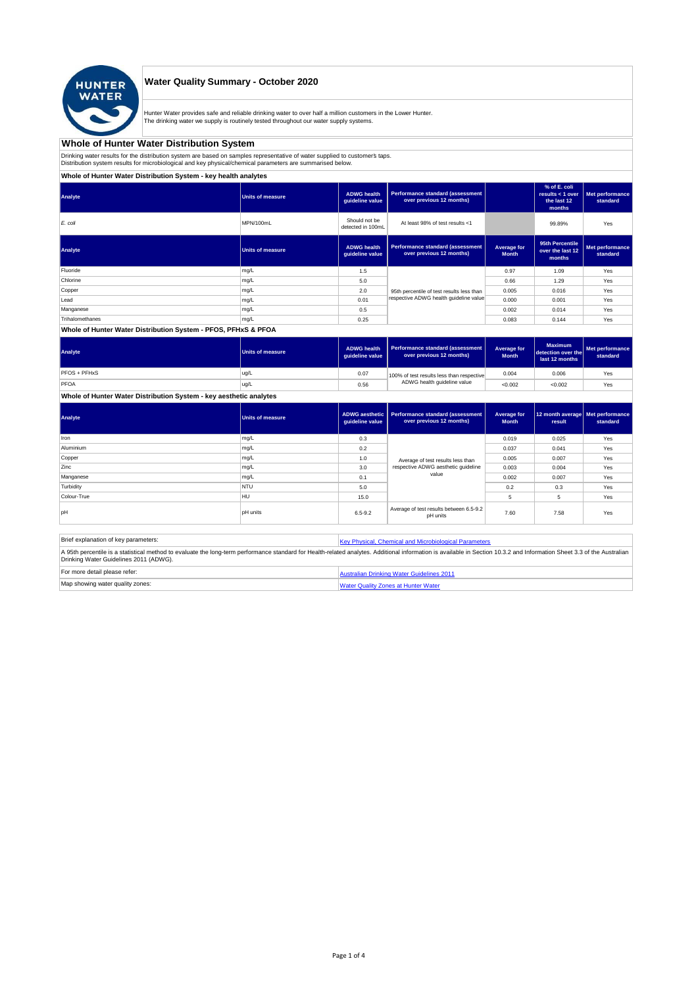

## **Water Quality Summary - October 2020**

Hunter Water provides safe and reliable drinking water to over half a million customers in the Lower Hunter. The drinking water we supply is routinely tested throughout our water supply systems.

# **Whole of Hunter Water Distribution System**

Drinking water results for the distribution system are based on samples representative of water supplied to customer' taps.<br>Distribution system results for microbiological and key physical/chemical parameters are summarise

## **Whole of Hunter Water Distribution System - key health analytes**

| Analyte         | <b>Units of measure</b> | <b>ADWG</b> health<br>guideline value | <b>Performance standard (assessment</b><br>over previous 12 months) |                             | % of E. coli<br>results $<$ 1 over<br>the last 12<br>months | Met performance<br>standard |
|-----------------|-------------------------|---------------------------------------|---------------------------------------------------------------------|-----------------------------|-------------------------------------------------------------|-----------------------------|
| E. coli         | MPN/100mL               | Should not be<br>detected in 100mL    | At least 98% of test results <1                                     |                             | 99.89%                                                      | Yes                         |
| Analyte         | <b>Units of measure</b> | <b>ADWG</b> health<br>guideline value | <b>Performance standard (assessment</b><br>over previous 12 months) | Average for<br><b>Month</b> | 95th Percentile<br>over the last 12<br>months               | Met performance<br>standard |
| Fluoride        | mg/L                    | 1.5                                   |                                                                     | 0.97                        | 1.09                                                        | Yes                         |
| Chlorine        | mg/L                    | 5.0                                   |                                                                     | 0.66                        | 1.29                                                        | Yes                         |
| Copper          | mg/L                    | 2.0                                   | 95th percentile of test results less than                           | 0.005                       | 0.016                                                       | Yes                         |
| Lead            | mg/L                    | 0.01                                  | respective ADWG health quideline value                              | 0.000                       | 0.001                                                       | Yes                         |
| Manganese       | mg/L                    | 0.5                                   |                                                                     | 0.002                       | 0.014                                                       | Yes                         |
| Trihalomethanes | mg/L                    | 0.25                                  |                                                                     | 0.083                       | 0.144                                                       | Yes                         |
|                 |                         |                                       |                                                                     |                             |                                                             |                             |

#### **Whole of Hunter Water Distribution System - PFOS, PFHxS & PFOA**

| Analyte      | <b>Units of measure</b> | <b>ADWG health</b><br>quideline value | Performance standard (assessment<br>over previous 12 months) | Average for<br><b>Month</b> | <b>Maximum</b><br>detection over the<br>last 12 months | Met performance<br>standard |
|--------------|-------------------------|---------------------------------------|--------------------------------------------------------------|-----------------------------|--------------------------------------------------------|-----------------------------|
| PFOS + PFHxS | ug/L                    | 0.07                                  | 100% of test results less than respective                    | 0.004                       | 0.006                                                  | Yes                         |
| PFOA         | ug/L                    | 0.56                                  | ADWG health guideline value                                  | < 0.002                     | < 0.002                                                | Yes                         |

## **Whole of Hunter Water Distribution System - key aesthetic analytes**

| Analyte     | <b>Units of measure</b> | guideline value | ADWG aesthetic   Performance standard (assessment<br>over previous 12 months) | Average for<br><b>Month</b> | 12 month average   Met performance<br>result | standard |
|-------------|-------------------------|-----------------|-------------------------------------------------------------------------------|-----------------------------|----------------------------------------------|----------|
| Iron        | mg/L                    | 0.3             |                                                                               | 0.019                       | 0.025                                        | Yes      |
| Aluminium   | mg/L                    | 0.2             |                                                                               | 0.037                       | 0.041                                        | Yes      |
| Copper      | mg/L                    | 1.0             | Average of test results less than                                             | 0.005                       | 0.007                                        | Yes      |
| Zinc        | mg/L                    | 3.0             | respective ADWG aesthetic quideline                                           | 0.003                       | 0.004                                        | Yes      |
| Manganese   | mg/L                    | 0.1             | value                                                                         | 0.002                       | 0.007                                        | Yes      |
| Turbidity   | <b>NTU</b>              | 5.0             |                                                                               | 0.2                         | 0.3                                          | Yes      |
| Colour-True | <b>HU</b>               | 15.0            |                                                                               | 5                           | 5                                            | Yes      |
| pH          | <b>pH</b> units         | $6.5 - 9.2$     | Average of test results between 6.5-9.2<br>pH units                           | 7.60                        | 7.58                                         | Yes      |

| Brief explanation of key parameters:   | Key Physical, Chemical and Microbiological Parameters                                                                                                                                                                   |
|----------------------------------------|-------------------------------------------------------------------------------------------------------------------------------------------------------------------------------------------------------------------------|
| Drinking Water Guidelines 2011 (ADWG). | A 95th percentile is a statistical method to evaluate the long-term performance standard for Health-related analytes. Additional information is available in Section 10.3.2 and Information Sheet 3.3 of the Australian |
| For more detail please refer:          | Australian Drinking Water Guidelines 2011                                                                                                                                                                               |
| Map showing water quality zones:       | <b>Water Quality Zones at Hunter Water</b>                                                                                                                                                                              |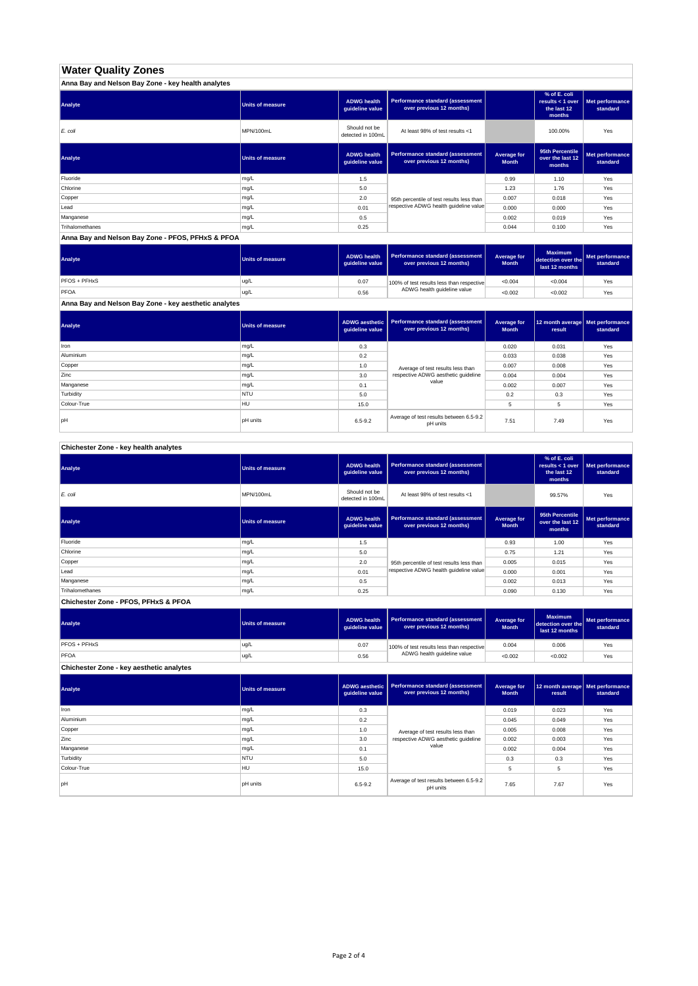# **Water Quality Zones**

| Anna Bay and Nelson Bay Zone - key health analytes |                  |                                       |                                                                     |                             |                                                           |                             |
|----------------------------------------------------|------------------|---------------------------------------|---------------------------------------------------------------------|-----------------------------|-----------------------------------------------------------|-----------------------------|
| Analyte                                            | Units of measure | <b>ADWG health</b><br>guideline value | <b>Performance standard (assessment</b><br>over previous 12 months) |                             | % of E. coli<br>results < 1 over<br>the last 12<br>months | Met performance<br>standard |
| E. coli                                            | MPN/100mL        | Should not be<br>detected in 100mL    | At least 98% of test results <1                                     |                             | 100.00%                                                   | Yes                         |
| Analyte                                            | Units of measure | <b>ADWG health</b><br>guideline value | Performance standard (assessment<br>over previous 12 months)        | Average for<br><b>Month</b> | 95th Percentile<br>over the last 12<br>months             | Met performance<br>standard |
| Fluoride                                           | mg/L             | 1.5                                   |                                                                     | 0.99                        | 1.10                                                      | Yes                         |
| Chlorine                                           | mg/L             | 5.0                                   |                                                                     | 1.23                        | 1.76                                                      | Yes                         |
| Copper                                             | mg/L             | 2.0                                   | 95th percentile of test results less than                           | 0.007                       | 0.018                                                     | Yes                         |
| Lead                                               | mg/L             | 0.01                                  | respective ADWG health guideline value                              | 0.000                       | 0.000                                                     | Yes                         |
| Manganese                                          | mg/L             | 0.5                                   |                                                                     | 0.002                       | 0.019                                                     | Yes                         |
| Trihalomethanes                                    | mg/L             | 0.25                                  |                                                                     | 0.044                       | 0.100                                                     | Yes                         |

**Anna Bay and Nelson Bay Zone - PFOS, PFHxS & PFOA**

| Analyte      | Units of measure | <b>ADWG health</b><br>quideline value | Performance standard (assessment<br>over previous 12 months) | <b>Average for</b><br><b>Month</b> | <b>Maximum</b><br>detection over the<br>last 12 months | Met performance<br>standard |
|--------------|------------------|---------------------------------------|--------------------------------------------------------------|------------------------------------|--------------------------------------------------------|-----------------------------|
| PFOS + PFHxS | ug/L             | 0.07                                  | 100% of test results less than respective                    | < 0.004                            | < 0.004                                                | Yes                         |
| PFOA         | ug/L             | 0.56                                  | ADWG health guideline value                                  | < 0.002                            | < 0.002                                                | Yes                         |

**Anna Bay and Nelson Bay Zone - key aesthetic analytes**

| Analyte     | Units of measure | ADWG aesthetic  <br>guideline value | Performance standard (assessment<br>over previous 12 months) | Average for<br><b>Month</b> | 12 month average   Met performance<br>result | standard |
|-------------|------------------|-------------------------------------|--------------------------------------------------------------|-----------------------------|----------------------------------------------|----------|
| Iron        | mg/L             | 0.3                                 |                                                              | 0.020                       | 0.031                                        | Yes      |
| Aluminium   | mg/L             | 0.2                                 |                                                              | 0.033                       | 0.038                                        | Yes      |
| Copper      | mg/L             | 1.0                                 | Average of test results less than                            | 0.007                       | 0.008                                        | Yes      |
| Zinc        | mg/L             | 3.0                                 | respective ADWG aesthetic quideline                          | 0.004                       | 0.004                                        | Yes      |
| Manganese   | mg/L             | 0.1                                 | value                                                        | 0.002                       | 0.007                                        | Yes      |
| Turbidity   | <b>NTU</b>       | 5.0                                 |                                                              | 0.2                         | 0.3                                          | Yes      |
| Colour-True | HU               | 15.0                                |                                                              |                             | 5                                            | Yes      |
| pH          | <b>pH</b> units  | $6.5 - 9.2$                         | Average of test results between 6.5-9.2<br>pH units          | 7.51                        | 7.49                                         | Yes      |

**Chichester Zone - key health analytes**

| Analyte         | <b>Units of measure</b> | <b>ADWG health</b><br>guideline value | Performance standard (assessment<br>over previous 12 months) |                             | % of E. coli<br>results $<$ 1 over<br>the last 12<br>months | Met performance<br>standard |
|-----------------|-------------------------|---------------------------------------|--------------------------------------------------------------|-----------------------------|-------------------------------------------------------------|-----------------------------|
| E. coli         | MPN/100mL               | Should not be<br>detected in 100mL    | At least 98% of test results <1                              |                             | 99.57%                                                      | Yes                         |
| Analyte         | Units of measure        | <b>ADWG health</b><br>guideline value | Performance standard (assessment<br>over previous 12 months) | Average for<br><b>Month</b> | 95th Percentile<br>over the last 12<br>months               | Met performance<br>standard |
| Fluoride        | mg/L                    | 1.5                                   |                                                              | 0.93                        | 1.00                                                        | Yes                         |
| Chlorine        | mg/L                    | 5.0                                   |                                                              | 0.75                        | 1.21                                                        | Yes                         |
| Copper          | mg/L                    | 2.0                                   | 95th percentile of test results less than                    | 0.005                       | 0.015                                                       | Yes                         |
| Lead            | mg/L                    | 0.01                                  | respective ADWG health quideline value                       | 0.000                       | 0.001                                                       | Yes                         |
| Manganese       | mg/L                    | 0.5                                   |                                                              | 0.002                       | 0.013                                                       | Yes                         |
| Trihalomethanes | mg/L                    | 0.25                                  |                                                              | 0.090                       | 0.130                                                       | Yes                         |

**Chichester Zone - PFOS, PFHxS & PFOA**

| Analyte      | Units of measure | <b>ADWG health</b><br>quideline value | Performance standard (assessment<br>over previous 12 months) | Average for<br><b>Month</b> | <b>Maximum</b><br>detection over the<br>last 12 months | Met performance<br>standard |
|--------------|------------------|---------------------------------------|--------------------------------------------------------------|-----------------------------|--------------------------------------------------------|-----------------------------|
| PFOS + PFHxS | ug/L             | 0.07                                  | 100% of test results less than respective                    | 0.004                       | 0.006                                                  | Yes                         |
| PFOA         | ug/L             | 0.56                                  | ADWG health guideline value                                  | < 0.002                     | < 0.002                                                | Yes                         |

**Chichester Zone - key aesthetic analytes**

| Analyte     | <b>Units of measure</b> | ADWG aesthetic<br>guideline value | Performance standard (assessment<br>over previous 12 months) | Average for<br><b>Month</b> | 12 month average Met performance<br>result | standard |
|-------------|-------------------------|-----------------------------------|--------------------------------------------------------------|-----------------------------|--------------------------------------------|----------|
| Iron        | mg/L                    | 0.3                               |                                                              | 0.019                       | 0.023                                      | Yes      |
| Aluminium   | mg/L                    | 0.2                               |                                                              | 0.045                       | 0.049                                      | Yes      |
| Copper      | mg/L                    | 1.0                               | Average of test results less than                            | 0.005                       | 0.008                                      | Yes      |
| Zinc        | mg/L                    | 3.0                               | respective ADWG aesthetic quideline                          | 0.002                       | 0.003                                      | Yes      |
| Manganese   | mg/L                    | 0.1                               | value                                                        | 0.002                       | 0.004                                      | Yes      |
| Turbidity   | <b>NTU</b>              | 5.0                               |                                                              | 0.3                         | 0.3                                        | Yes      |
| Colour-True | <b>HU</b>               | 15.0                              |                                                              | 5                           | 5                                          | Yes      |
| pH          | <b>pH</b> units         | $6.5 - 9.2$                       | Average of test results between 6.5-9.2<br>pH units          | 7.65                        | 7.67                                       | Yes      |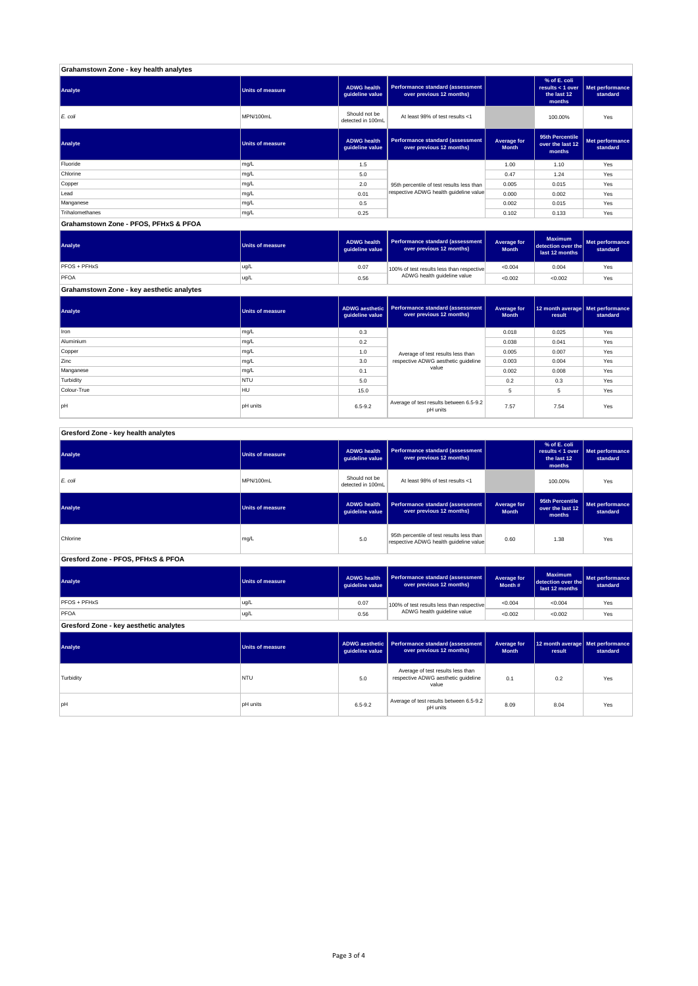| Grahamstown Zone - key health analytes |                         |                                       |                                                              |                             |                                                           |                             |
|----------------------------------------|-------------------------|---------------------------------------|--------------------------------------------------------------|-----------------------------|-----------------------------------------------------------|-----------------------------|
| Analyte                                | <b>Units of measure</b> | <b>ADWG health</b><br>guideline value | Performance standard (assessment<br>over previous 12 months) |                             | % of E. coli<br>results < 1 over<br>the last 12<br>months | Met performance<br>standard |
| E. coli                                | MPN/100mL               | Should not be<br>detected in 100mL    | At least 98% of test results <1                              |                             | 100.00%                                                   | Yes                         |
| Analyte                                | <b>Units of measure</b> | <b>ADWG health</b><br>guideline value | Performance standard (assessment<br>over previous 12 months) | Average for<br><b>Month</b> | 95th Percentile<br>over the last 12<br>months             | Met performance<br>standard |
| Fluoride                               | mg/L                    | 1.5                                   |                                                              | 1.00                        | 1.10                                                      | Yes                         |
| Chlorine                               | mg/L                    | 5.0                                   |                                                              | 0.47                        | 1.24                                                      | Yes                         |
| Copper                                 | mg/L                    | 2.0                                   | 95th percentile of test results less than                    | 0.005                       | 0.015                                                     | Yes                         |
| Lead                                   | mg/L                    | 0.01                                  | respective ADWG health guideline value                       | 0.000                       | 0.002                                                     | Yes                         |
| Manganese                              | mg/L                    | 0.5                                   |                                                              | 0.002                       | 0.015                                                     | Yes                         |
| Trihalomethanes                        | mg/L                    | 0.25                                  |                                                              | 0.102                       | 0.133                                                     | Yes                         |
| Grahamstown Zone - PFOS, PFHxS & PFOA  |                         |                                       |                                                              |                             |                                                           |                             |

**ADWG health guideline value Average for Month Maximum detection over the last 12 months Met performance standard** 0.07 100% of test results less than respective  $\sim 0.004$  0.004 Yes 0.56 <0.002 <0.002 Yes **Grahamstown Zone - key aesthetic analytes** PFOS + PFHxS ug/L PFOA ug/L 100% of test results less than respective ADWG health guideline value **Analyte Performance standard (assessment <b>Performance standard (assessment Performance standard (assessment Performance standard (assessment Performance standard (assessment** 

**ADWG aesthetic guideline value Average for Month 12 month average result Met performance standard** 0.3 0.018 0.025 Yes 0.2 0.038 0.041 Yes 1.0 average of text results less than 0.005 0.007  $\sim$  Yes 3.0 | respective ADWG aesthetic guideline | 0.003 | 0.004 | Yes 0.1 | <sup>carac</sup> | 0.002 | 0.008 | Yes 5.0 0.2 0.3 Yes 15.0 5 5 Yes pH pH units contract the set of test results between 6.5-9.2 7.57 7.54 Yes<br>pH pH units contract results between 5.5-9.2 7.57 7.54 Yes pH units Manganese mg/L and the material control of the material control of the material control of the material control of the material control of the material control of the material control of the material control of the materia **Turbidity** NTU Colour-True HULL Aluminium mg/L Copper mg/L Zinc mg/L **Analyte Performance standard (assessment <b>Performance standard (assessment Performance standard (assessment Performance standard (assessment performance standard (assessment**) Iron mg/L Average of test results less than respective ADWG aesthetic guideline value

#### **ADWG health guideline value % of E. coli results < 1 over the last 12 months Met performance standard** Should not be<br>detected in 100ml detected in 100mL 100.00% Yes *E. coli* MPN/100mL At least 98% of test results <1 **ADWG health guideline value Average for Month 95th Percentile over the last 12 months Met performance standard** mg/L 95.0 percentile of test results less than percentile of test respective ADWG health guideline value of the metalline of the metalline value of the metalline value of the metalline value of the metalline value of the m **ADWG health guideline value Average for Month # Maximum detection over the last 12 months Met performance standard** 0.07 100% of test results less than respective  $\sim 0.004$   $\sim 0.004$  Yes 0.56 <0.002 <0.002 Yes **ADWG aesthetic guideline value Average for Month 12 month average result Met performance standard** 5.0 0.1 0.2 Yes Average of test results less than respective ADWG aesthetic guideline pH units 6.5-9.2 Average of test results between 6.5-9.2 8.09 8.04 Yes<br>PH units 6.5-9.2 Average of the pH units 8.09 8.04 Yes **Gresford Zone - key aesthetic analytes Analyte Performance standard (assessment Performance standard (assessment Performance standard (assessment Performance standard (assessment performance standard (assessment**) **Turbidity** NTU value PFOS + PFHxS ug/L PFOA ug/L 100% of test results less than respective ADWG health guideline value **Gresford Zone - PFOS, PFHxS & PFOA Analyte Performance standard (assessment <b>Performance standard (assessment Performance standard (assessment Performance standard (assessment performance standard (assessment Analyte Performance standard (assessment <b>Performance standard (assessment Performance standard (assessment Performance standard (assessment Performance standard (assessment Gresford Zone - key health analytes Analyte Performance standard (assessment Performance standard (assessment Performance standard (assessment Performance standard (assessment performance standard (assessment**